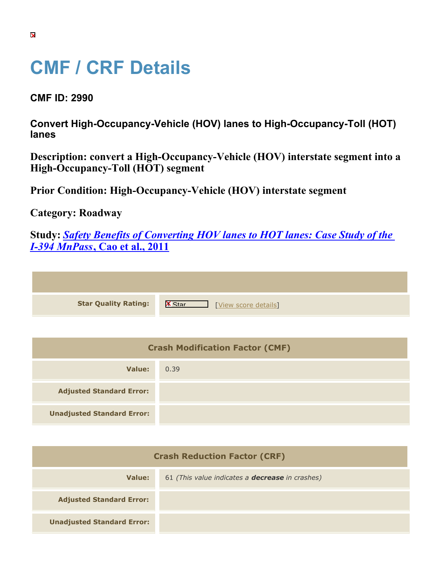## **CMF / CRF Details**

**CMF ID: 2990**

**Convert High-Occupancy-Vehicle (HOV) lanes to High-Occupancy-Toll (HOT) lanes**

| Description: convert a High-Occupancy-Vehicle (HOV) interstate segment into a |  |
|-------------------------------------------------------------------------------|--|
| High-Occupancy-Toll (HOT) segment                                             |  |

**Prior Condition: High-Occupancy-Vehicle (HOV) interstate segment**

**Category: Roadway**

**Study:** *[Safety Benefits of Converting HOV lanes to HOT lanes: Case Study of the](https://cmfclearinghouse.org/study_detail.cfm?stid=208) [I-394 MnPass](https://cmfclearinghouse.org/study_detail.cfm?stid=208)***[, Cao et al., 2011](https://cmfclearinghouse.org/study_detail.cfm?stid=208)**

| <b>Star Quality Rating:</b>            | $\mathbf{X}$<br>[View score details] |
|----------------------------------------|--------------------------------------|
|                                        |                                      |
| <b>Crash Modification Factor (CMF)</b> |                                      |
| <b>Value:</b>                          | 0.39                                 |

| .                                   |                                                        |
|-------------------------------------|--------------------------------------------------------|
| <b>Unadjusted Standard Error:</b>   |                                                        |
|                                     |                                                        |
| <b>Crash Reduction Factor (CRF)</b> |                                                        |
| <b>Value:</b>                       | 61 (This value indicates a <b>decrease</b> in crashes) |

**Adjusted Standard Error:**

**Adjusted Standard Error:**

**Unadjusted Standard Error:**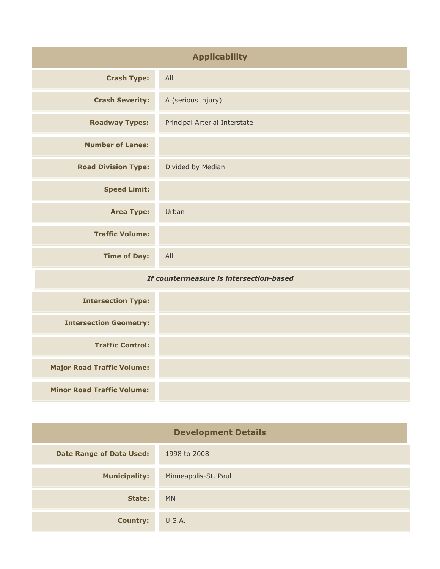| <b>Applicability</b>                    |                               |
|-----------------------------------------|-------------------------------|
| <b>Crash Type:</b>                      | All                           |
| <b>Crash Severity:</b>                  | A (serious injury)            |
| <b>Roadway Types:</b>                   | Principal Arterial Interstate |
| <b>Number of Lanes:</b>                 |                               |
| <b>Road Division Type:</b>              | Divided by Median             |
| <b>Speed Limit:</b>                     |                               |
| <b>Area Type:</b>                       | Urban                         |
| <b>Traffic Volume:</b>                  |                               |
| <b>Time of Day:</b>                     | All                           |
| If countermeasure is intersection-based |                               |
| <b>Intersection Type:</b>               |                               |
| <b>Intersection Geometry:</b>           |                               |
| <b>Traffic Control:</b>                 |                               |
| <b>Major Road Traffic Volume:</b>       |                               |
| <b>Minor Road Traffic Volume:</b>       |                               |

| <b>Development Details</b>      |                      |
|---------------------------------|----------------------|
| <b>Date Range of Data Used:</b> | 1998 to 2008         |
| <b>Municipality:</b>            | Minneapolis-St. Paul |
| State:                          | <b>MN</b>            |
| <b>Country:</b>                 | U.S.A.               |